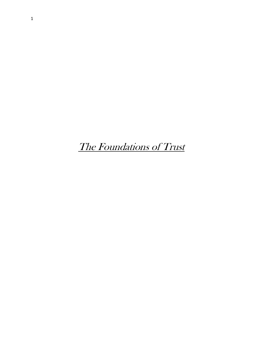The Foundations of Trust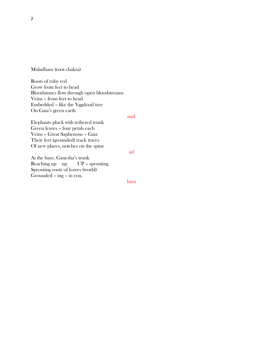Muladhara (root chakra)

Roots of ruby red Grow from feet to head Bloodstones flow through open bloodstreams Veins – from feet to head Embedded – like the Yggdrasil tree On Gaia's green earth

mul

Elephants pluck with tethered trunk Green leaves – four petals each Veins – Great Saphenous – Gaia Their feet (grounded) track traces Of new places, notches on the spine

At the base, Ganesha's trunk Reaching up up UP - sprouting Sprouting roots of leaves (world) Grounded – ing – in you.

hara

ad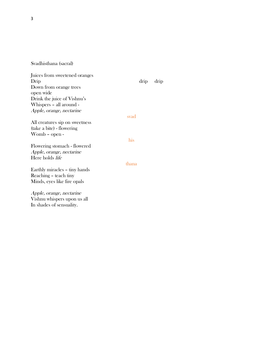Svadhisthana (sacral)

| Juices from sweetened oranges  |       |      |      |
|--------------------------------|-------|------|------|
| Drip                           |       | drip | drip |
| Down from orange trees         |       |      |      |
| open wide                      |       |      |      |
| Drink the juice of Vishnu's    |       |      |      |
| Whispers - all around -        |       |      |      |
| Apple, orange, nectarine       |       |      |      |
|                                | svad  |      |      |
| All creatures sip on sweetness |       |      |      |
| (take a bite) - flowering      |       |      |      |
| Womb - open -                  |       |      |      |
|                                | his   |      |      |
| Flowering stomach - flowered   |       |      |      |
| Apple, orange, nectarine       |       |      |      |
| Here holds life                |       |      |      |
|                                | thana |      |      |
| Earthly miracles - tiny hands  |       |      |      |
| Reaching – teach tiny          |       |      |      |
| Minds, eyes like fire opals    |       |      |      |
|                                |       |      |      |
| Apple, orange, nectarine       |       |      |      |
| Vishnu whispers upon us all    |       |      |      |
| In shades of sensuality.       |       |      |      |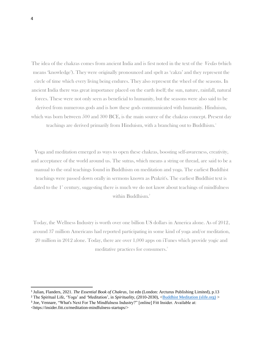The idea of the chakras comes from ancient India and is first noted in the text of the *Vedas* (which means 'knowledge'). They were originally pronounced and spelt as 'cakra' and they represent the circle of time which every living being endures. They also represent the wheel of the seasons. In ancient India there was great importance placed on the earth itself; the sun, nature, rainfall, natural forces. These were not only seen as beneficial to humanity, but the seasons were also said to be derived from numerous gods and is how these gods communicated with humanity. Hinduism, which was born between 500 and 300 BCE, is the main source of the chakras concept. Present day teachings are derived primarily from Hinduism, with a branching out to Buddhism.<sup>1</sup>

Yoga and meditation emerged as ways to open these chakras, boosting self-awareness, creativity, and acceptance of the world around us. The sutras, which means a string or thread, are said to be a manual to the oral teachings found in Buddhism on meditation and yoga. The earliest Buddhist teachings were passed down orally in sermons known as Prakrit's. The earliest Buddhist text is dated to the  $1^{\circ}$  century, suggesting there is much we do not know about teachings of mindfulness within Buddhism.<sup>2</sup>

Today, the Wellness Industry is worth over one billion US dollars in America alone. As of 2012, around 37 million Americans had reported participating in some kind of yoga and/or meditation, 20 million in 2012 alone. Today, there are over 1,000 apps on iTunes which provide yogic and meditative practices for consumers.<sup>3</sup>

<sup>1</sup> Julian, Flanders, 2021. *The Essential Book of Chakras*, 1st edn (London: Arcturus Publishing Limited), p.13

<sup>2</sup> The Spiritual Life, 'Yoga' and 'Meditation', in *Spirituality*, (2010-2030), [<Buddhist Meditation \(slife.org\)](https://slife.org/buddhist-meditation/) >

<sup>3</sup> Joe, Vennare, "What's Next For The Mindfulness Industry?" [online] Fitt Insider. Available at: <https://insider.fitt.co/meditation-mindfulness-startups/>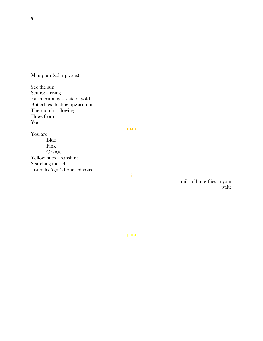Manipura (solar plexus)

See the sun Setting – rising Earth erupting – state of gold Butterflies floating upward out The mouth – flowing Flows from You

man

i

You are Blue Pink Orange Yellow hues – sunshine Searching the self Listen to Agni's honeyed voice

> trails of butterflies in your wake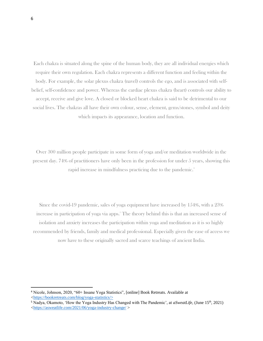Each chakra is situated along the spine of the human body, they are all individual energies which require their own regulation. Each chakra represents a different function and feeling within the body. For example, the solar plexus chakra (navel) controls the ego, and is associated with selfbelief, self-confidence and power. Whereas the cardiac plexus chakra (heart) controls our ability to accept, receive and give love. A closed or blocked heart chakra is said to be detrimental to our social lives. The chakras all have their own colour, sense, element, gems/stones, symbol and deity which impacts its appearance, location and function.

Over 300 million people participate in some form of yoga and/or meditation worldwide in the present day. 74% of practitioners have only been in the profession for under 5 years, showing this rapid increase in mindfulness practicing due to the pandemic.<sup>4</sup>

Since the covid-19 pandemic, sales of yoga equipment have increased by 154%, with a 23% increase in participation of yoga via apps.<sup>5</sup> The theory behind this is that an increased sense of isolation and anxiety increases the participation within yoga and meditation as it is so highly recommended by friends, family and medical professional. Especially given the ease of access we now have to these originally sacred and scarce teachings of ancient India.

<sup>4</sup> Nicole, Johnson, 2020, "60+ Insane Yoga Statistics"*,* [online] Book Retreats. Available at [<https://bookretreats.com/blog/yoga-statistics/>](https://bookretreats.com/blog/yoga-statistics/%3E)

<sup>5</sup> Nadya, Okamoto, 'How the Yoga Industry Has Changed with The Pandemic', at *aSweatLife,* (June 15th, 2021) [<https://asweatlife.com/2021/06/yoga-industry-change/](https://asweatlife.com/2021/06/yoga-industry-change/) >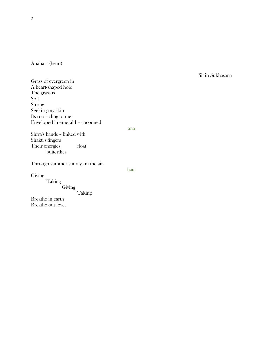Anahata (heart)

## Sit in Sukhasana

Grass of evergreen in A heart-shaped hole The grass is Soft Strong Seeking my skin Its roots cling to me Enveloped in emerald – cocooned

ana

Shiva's hands – linked with Shakti's fingers Their energies float butterflies

Through summer sunrays in the air.

Giving

hata

Taking Giving

Taking

Breathe in earth Breathe out love.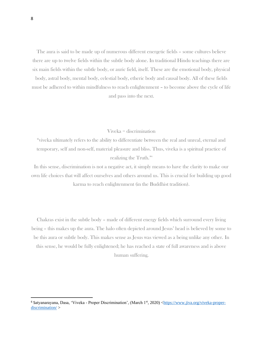The aura is said to be made up of numerous different energetic fields – some cultures believe there are up to twelve fields within the subtle body alone. In traditional Hindu teachings there are six main fields within the subtle body, or auric field, itself. These are the emotional body, physical

body, astral body, mental body, celestial body, etheric body and causal body. All of these fields must be adhered to within mindfulness to reach enlightenment – to become above the cycle of life and pass into the next.

Viveka = discrimination

"viveka ultimately refers to the ability to differentiate between the real and unreal, eternal and temporary, self and non-self, material pleasure and bliss. Thus, viveka is a spiritual practice of realizing the Truth."<sup>6</sup>

In this sense, discrimination is not a negative act, it simply means to have the clarity to make our own life choices that will affect ourselves and others around us. This is crucial for building up good karma to reach enlightenment (in the Buddhist tradition).

Chakras exist in the subtle body – made of different energy fields which surround every living being – this makes up the aura. The halo often depicted around Jesus' head is believed by some to be this aura or subtle body. This makes sense as Jesus was viewed as a being unlike any other. In this sense, he would be fully enlightened; he has reached a state of full awareness and is above human suffering.

<sup>6</sup> Satyanarayana, Dasa, 'Viveka - Proper Discrimination', (March 1st, 2020) [<https://www.jiva.org/viveka-proper](https://www.jiva.org/viveka-proper-discrimination/)[discrimination/](https://www.jiva.org/viveka-proper-discrimination/) >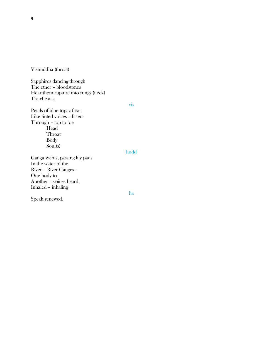Vishuddha (throat)

Sapphires dancing through The ether – bloodstones Hear them rupture into rungs (neck) Tra-che-aaa

vis

Petals of blue topaz float Like tinted voices – listen - Through – top to toe Head Throat Body Soul(s)

## hudd

ha

Ganga swims, passing lily pads In the water of the River – River Ganges - One body to Another – voices heard, Inhaled – inhaling

Speak renewed.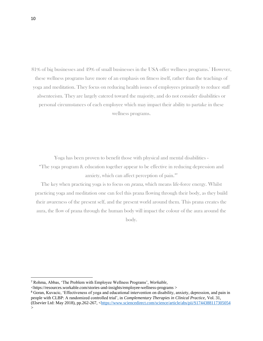81% of big businesses and 49% of small businesses in the USA offer wellness programs.<sup>7</sup> However, these wellness programs have more of an emphasis on fitness itself, rather than the teachings of yoga and meditation. They focus on reducing health issues of employees primarily to reduce staff absenteeism. They are largely catered toward the majority, and do not consider disabilities or personal circumstances of each employee which may impact their ability to partake in these wellness programs.

Yoga has been proven to benefit those with physical and mental disabilities - "The yoga program & education together appear to be effective in reducing depression and anxiety, which can affect perception of pain."<sup>8</sup>

The key when practicing yoga is to focus on *prana*, which means life-force energy. Whilst practicing yoga and meditation one can feel this prana flowing through their body, as they build their awareness of the present self, and the present world around them. This prana creates the aura, the flow of prana through the human body will impact the colour of the aura around the body.

<sup>7</sup> Rohma, Abbas, 'The Problem with Employee Wellness Programs', *Workable,* 

<sup>&</sup>lt;https://resources.workable.com/stories-and-insights/employee-wellness-programs >

<sup>8</sup> Goran, Kuvacic, 'Effectiveness of yoga and educational intervention on disability, anxiety, depression, and pain in people with CLBP: A randomized controlled trial', in *Complementary Therapies in Clinical Practice,* Vol. 31, (Elsevier Ltd: May 2018), pp.262-267, [<https://www.sciencedirect.com/science/article/abs/pii/S1744388117305054](https://www.sciencedirect.com/science/article/abs/pii/S1744388117305054) >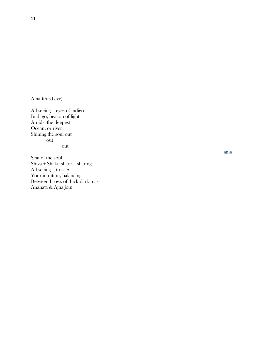Ajna (third-eye)

All seeing – eyes of indigo In-di-go, beacon of light Amidst the deepest Ocean, or river Shining the soul out out out

Seat of the soul Shiva + Shakti share – sharing All seeing – trust  $it$ Your intuition, balancing Between brows of thick dark mass Anahata & Ajna join

ajna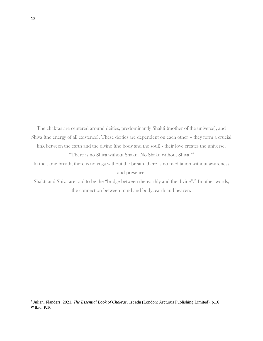The chakras are centered around deities, predominantly Shakti (mother of the universe), and Shiva (the energy of all existence). These deities are dependent on each other – they form a crucial link between the earth and the divine (the body and the soul) - their love creates the universe.

"There is no Shiva without Shakti. No Shakti without Shiva."<sup>9</sup>

In the same breath, there is no yoga without the breath, there is no meditation without awareness and presence.

Shakti and Shiva are said to be the "bridge between the earthly and the divine".<sup>10</sup> In other words, the connection between mind and body, earth and heaven.

<sup>9</sup> Julian, Flanders, 2021. *The Essential Book of Chakras*, 1st edn (London: Arcturus Publishing Limited), p.16 <sup>10</sup> Ibid. P.16